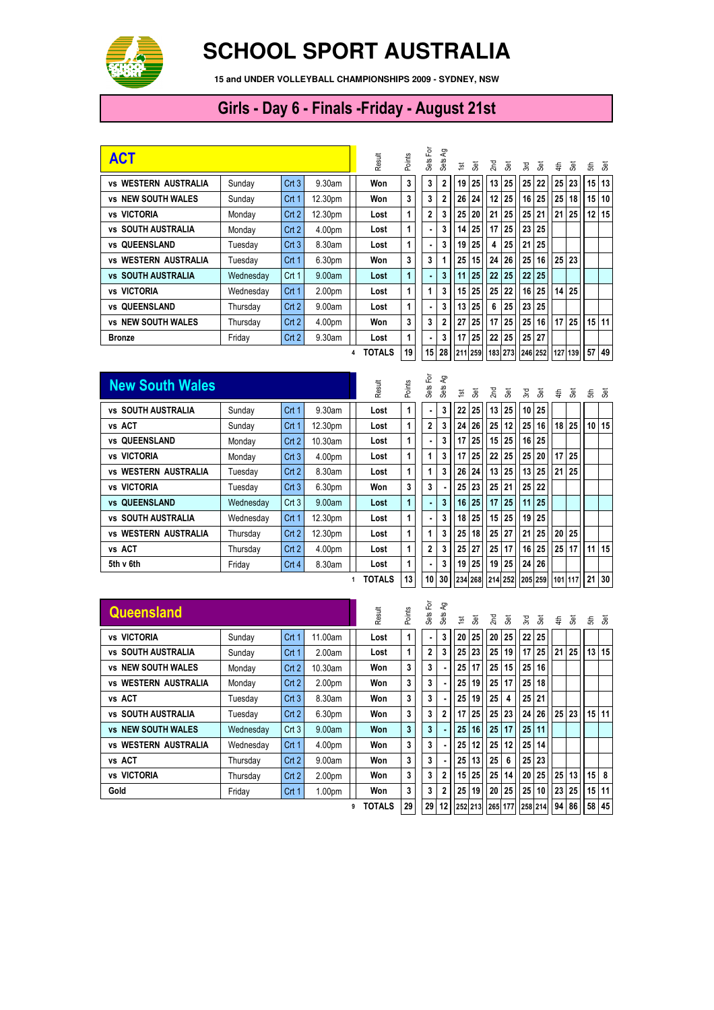

## **SCHOOL SPORT AUSTRALIA**

**15 and UNDER VOLLEYBALL CHAMPIONSHIPS 2009 - SYDNEY, NSW**

## Girls - Day 6 - Finals -Friday - August 21st

| <b>ACT</b>                            |           | Result           | Points             | Sets For | ΨЪ<br>Sets | $\overline{\mathbf{5}}$ | 3               | Σm             | æ,              | Σď              | ्रह | €               | æ               |    | 동 홍             |                 |    |         |
|---------------------------------------|-----------|------------------|--------------------|----------|------------|-------------------------|-----------------|----------------|-----------------|-----------------|-----|-----------------|-----------------|----|-----------------|-----------------|----|---------|
| <b>WESTERN AUSTRALIA</b><br><b>VS</b> | Sundav    | Crt3             | 9.30am             |          | Won        | 3                       | 3               | 2              | 19              | 25              | 13  | 25              | 25              | 22 | 25 <sup>1</sup> | 23 <sup>1</sup> |    | 15 13   |
| <b>vs NEW SOUTH WALES</b>             | Sunday    | Crt 1            | 12.30pm            |          | Won        | 3                       | 3               | $\overline{2}$ | 26              | 24              | 12  | 25              | 16              | 25 | 25 <sub>1</sub> | 18              | 15 | 10      |
| vs VICTORIA                           | Monday    | Crt <sub>2</sub> | 12.30pm            |          | Lost       | 1                       | 2               | 3              | 25              | 20              | 21  | 25              | 25 <sub>1</sub> | 21 | 21              | 25 <sub>l</sub> | 12 | 15      |
| <b>SOUTH AUSTRALIA</b><br>VS          | Monday    | Crt2             | 4.00pm             |          | Lost       | 1                       | $\blacksquare$  | 3              | 14              | 25              | 17  | 25              | 23              | 25 |                 |                 |    |         |
| vs QUEENSLAND                         | Tuesday   | Crt3             | 8.30am             |          | Lost       | 1                       | ٠.              | 3              | 19              | 25              | 4   | 25              | 21              | 25 |                 |                 |    |         |
| <b>WESTERN AUSTRALIA</b><br>VS        | Tuesday   | Crt <sub>1</sub> | 6.30pm             |          | Won        | 3                       | 3               |                | 25              | 15 <sup>1</sup> | 24  | 26              | 25              | 16 |                 | 25 23           |    |         |
| <b>SOUTH AUSTRALIA</b><br>VS.         | Wednesdav | Crt 1            | 9.00am             |          | Lost       | 1                       | ٠.              | 3              | 11              | 25              | 22  | 25              | 22              | 25 |                 |                 |    |         |
| <b>vs VICTORIA</b>                    | Wednesday | Crt 1            | 2.00 <sub>pm</sub> |          | Lost       | 1                       | 1               | 3              |                 | 15 25           | 25  | 22              | 16              | 25 | 14 <sup>1</sup> | 25 <sup>1</sup> |    |         |
| vs QUEENSLAND                         | Thursday  | Crt2             | 9.00am             |          | Lost       | 1                       | ٠               | 3              | 13 <sup>1</sup> | 25              | 6   | 25              | 23              | 25 |                 |                 |    |         |
| <b>NEW SOUTH WALES</b><br>VS          | Thursday  | Crt <sub>2</sub> | 4.00pm             |          | Won        | 3                       | 3               | $\overline{2}$ | 27              | 25              | 17  | 25              | 25              | 16 | 17 <sup>1</sup> | 25 <sub>1</sub> |    | $15$ 11 |
| <b>Bronze</b>                         | Friday    | Crt2             | 9.30am             |          | Lost       | 1                       | ٠               | 3              | 17              | 25              | 22  | 25              | 25              | 27 |                 |                 |    |         |
|                                       |           |                  |                    | 4        | TOTALS     | 19                      | 15 <sup>1</sup> | 28             |                 | 211 259         |     | 183 273 246 252 |                 |    |                 | 127 139         | 57 | 49      |

| <b>New South Wales</b>      |           |                  |            |  | Result        | Points | 헌<br>Sets I    | ඇ<br>Sets | $\overline{\mathbf{5}}$ | 3ă              | 2 <sub>nd</sub> | ్లే     | λű. | ్లే                               | €  | ್ಲಿಕ್           | ಕೆ ತೆ                                                   |    |
|-----------------------------|-----------|------------------|------------|--|---------------|--------|----------------|-----------|-------------------------|-----------------|-----------------|---------|-----|-----------------------------------|----|-----------------|---------------------------------------------------------|----|
| <b>vs SOUTH AUSTRALIA</b>   | Sunday    | Crt 1            | 9.30am     |  | Lost          | 1      |                | 3         | 22                      | 25 <sub>1</sub> | 13              | 25      |     | 10 25                             |    |                 |                                                         |    |
| vs ACT                      | Sunday    | Crt 1            | 12.30pm    |  | Lost          | 1      | $\overline{2}$ | 3         | 24 <sup>1</sup>         | 26              | 25 <sub>1</sub> | 12      |     | 25 16                             |    | $18$ 25         | 10 <sup>1</sup>                                         | 15 |
| <b>vs QUEENSLAND</b>        | Monday    | Crt <sub>2</sub> | $10.30$ am |  | Lost          | 1      |                | 3         | 17                      | 25              | 15              | 25      |     | 16 25                             |    |                 |                                                         |    |
| <b>vs VICTORIA</b>          | Monday    | Crt3             | 4.00pm     |  | Lost          | 1      |                | 3         | 17                      | 25              | 22              | 25      |     | 25 20                             |    | $17 \mid 25$    |                                                         |    |
| <b>vs WESTERN AUSTRALIA</b> | Tuesday   | Crt2             | 8.30am     |  | Lost          | 1      |                | 3         | 26                      | 24              | 13              | 25      |     | 13 25                             | 21 | 25 <sub>1</sub> |                                                         |    |
| vs VICTORIA                 | Tuesday   | Crt3             | 6.30pm     |  | Won           | 3      | 3              |           | 25                      | 23              | 25 <sub>1</sub> | 21      |     | 25 22                             |    |                 |                                                         |    |
| <b>vs QUEENSLAND</b>        | Wednesday | Crt3             | 9.00am     |  | Lost          | 1      |                | 3         | 16                      | 25              | 17              | 25      |     | 11 25                             |    |                 |                                                         |    |
| <b>vs SOUTH AUSTRALIA</b>   | Wednesday | Crt <sub>1</sub> | 12.30pm    |  | Lost          | 1      |                | 3         | 18                      | 25 <sup>1</sup> | 15              | 25      |     | 19 25                             |    |                 |                                                         |    |
| <b>vs WESTERN AUSTRALIA</b> | Thursday  | Crt 2            | 12.30pm    |  | Lost          | 1      |                |           | 25                      | 18              |                 | $25$ 27 |     | 21 25                             | 20 | 25 <sup>1</sup> |                                                         |    |
| vs ACT                      | Thursday  | Crt2             | 4.00pm     |  | Lost          | 1      | $\overline{2}$ | 3         | 25                      | 27              | 25              | 17      |     | $16 \overline{\smash{\big)}\ 25}$ | 25 | 17 <sup>1</sup> | 11                                                      | 15 |
| 5th v 6th                   | Friday    | Crt 4            | 8.30am     |  | Lost          | 1      |                | 3<br>٠.   | 19                      | 25              | 19              | 25      |     | 24 26                             |    |                 |                                                         |    |
|                             |           |                  |            |  | <b>TOTALS</b> | 13     |                |           |                         |                 |                 |         |     |                                   |    |                 | 10 30   234 268   214 252   205 259   101 117   21   30 |    |

| <b>Queensland</b>               |           |                  |                    | Result | Points         | 헌<br>Sets    | දි<br>Sets | $\overline{\mathbf{5}}$ | š     | 2nd | š                                                       | λÄ,             | š  | €  | ෂි    |                 | ੜ੍ਹ ਫ਼  |
|---------------------------------|-----------|------------------|--------------------|--------|----------------|--------------|------------|-------------------------|-------|-----|---------------------------------------------------------|-----------------|----|----|-------|-----------------|---------|
| <b>VICTORIA</b><br>VS           | Sunday    | Crt 1            | 1.00am             | Lost   | 1              |              | 3          | 20                      | 25    | 20  | 25                                                      | 22 <sub>1</sub> | 25 |    |       |                 |         |
| <b>SOUTH AUSTRALIA</b><br>VS    | Sunday    | Crt <sub>1</sub> | 2.00am             | Lost   | 1              | $\mathbf{2}$ | 3          |                         | 25 23 | 25  | 19                                                      | 17              | 25 | 21 | 25    | 13 <sup>1</sup> | 15      |
| <b>vs NEW SOUTH WALES</b>       | Monday    | Crt <sub>2</sub> | $10.30$ am         | Won    | 3              | 3            |            | 25                      | 17    | 25  | 15                                                      | 25              | 16 |    |       |                 |         |
| <b>WESTERN AUSTRALIA</b><br>VS  | Monday    | Crt <sub>2</sub> | 2.00 <sub>pm</sub> | Won    | 3              | 3            |            | 25                      | 19    | 25  | 17                                                      | 25              | 18 |    |       |                 |         |
| vs ACT                          | Tuesday   | Crt3             | 8.30am             | Won    | 3              | 3            |            | 25                      | 19    | 25  | 4                                                       | 25              | 21 |    |       |                 |         |
| <b>vs SOUTH AUSTRALIA</b>       | Tuesdav   | Crt <sub>2</sub> | 6.30pm             | Won    | 3              | 3            | 2          | 17                      | 25    | 25  | 23                                                      | 24              | 26 |    | 25 23 |                 | $15$ 11 |
| <b>vs NEW SOUTH WALES</b>       | Wednesday | Crt3             | 9.00am             | Won    | $\overline{3}$ | 3            |            | 25                      | 16    | 25  | 17                                                      | 25              | 11 |    |       |                 |         |
| <b>WESTERN AUSTRALIA</b><br>vs. | Wednesday | Crt 1            | 4.00pm             | Won    | 3              | 3            |            | 25                      | 12    | 25  | 12                                                      | 25              | 14 |    |       |                 |         |
| vs ACT                          | Thursday  | Crt <sub>2</sub> | 9.00am             | Won    | 3              | 3            |            | 25                      | 13    | 25  | 6                                                       | 25              | 23 |    |       |                 |         |
| vs VICTORIA                     | Thursday  | Crt <sub>2</sub> | 2.00 <sub>pm</sub> | Won    | 3              | 3            | 2          |                         | 15 25 | 25  | 14                                                      | 20              | 25 |    | 25 13 | 15              | 8       |
| Gold                            | Friday    | Crt 1            | 1.00 <sub>pm</sub> | Won    | 3              | 3            | 2          | 25                      | 19    | 20  | 25                                                      | 25              | 10 |    | 23 25 | 15              | 11      |
|                                 |           |                  |                    | TOTALS | 29             |              |            |                         |       |     | 29   12   252   213   265   177   258   214     94   86 |                 |    |    |       |                 | 58 45   |